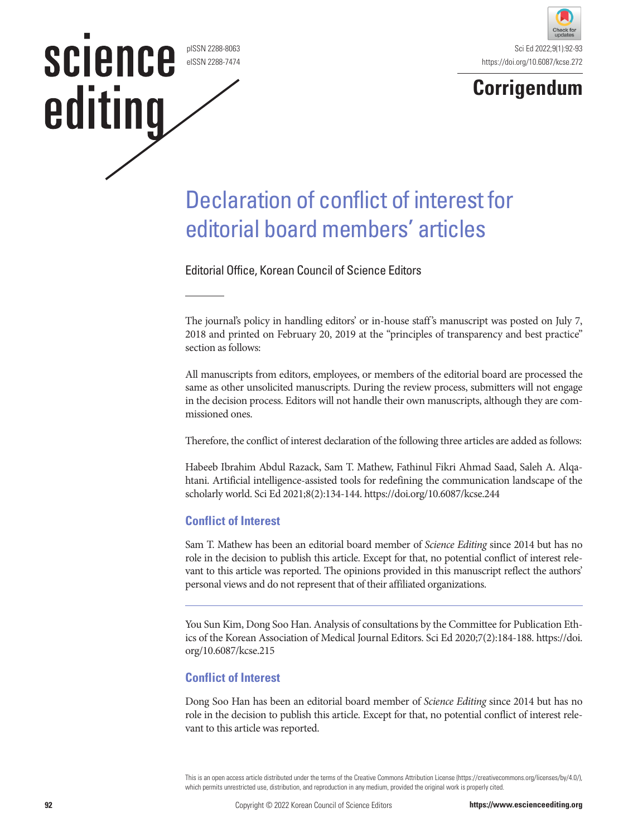pISSN 2288-8063 eISSN 2288-7474

science

editing





## Declaration of conflict of interest for editorial board members' articles

Editorial Office, Korean Council of Science Editors

The journal's policy in handling editors' or in-house staff's manuscript was posted on July 7, 2018 and printed on February 20, 2019 at the "principles of transparency and best practice" section as follows:

All manuscripts from editors, employees, or members of the editorial board are processed the same as other unsolicited manuscripts. During the review process, submitters will not engage in the decision process. Editors will not handle their own manuscripts, although they are commissioned ones.

Therefore, the conflict of interest declaration of the following three articles are added as follows:

Habeeb Ibrahim Abdul Razack, Sam T. Mathew, Fathinul Fikri Ahmad Saad, Saleh A. Alqahtani. Artificial intelligence-assisted tools for redefining the communication landscape of the scholarly world. Sci Ed 2021;8(2):134-144. https://doi.org/10.6087/kcse.244

## **Conflict of Interest**

Sam T. Mathew has been an editorial board member of *Science Editing* since 2014 but has no role in the decision to publish this article. Except for that, no potential conflict of interest relevant to this article was reported. The opinions provided in this manuscript reflect the authors' personal views and do not represent that of their affiliated organizations.

You Sun Kim, Dong Soo Han. Analysis of consultations by the Committee for Publication Ethics of the Korean Association of Medical Journal Editors. Sci Ed 2020;7(2):184-188. https://doi. org/10.6087/kcse.215

## **Conflict of Interest**

Dong Soo Han has been an editorial board member of *Science Editing* since 2014 but has no role in the decision to publish this article. Except for that, no potential conflict of interest relevant to this article was reported.

This is an open access article distributed under the terms of the Creative Commons Attribution License (https://creativecommons.org/licenses/by/4.0/), which permits unrestricted use, distribution, and reproduction in any medium, provided the original work is properly cited.